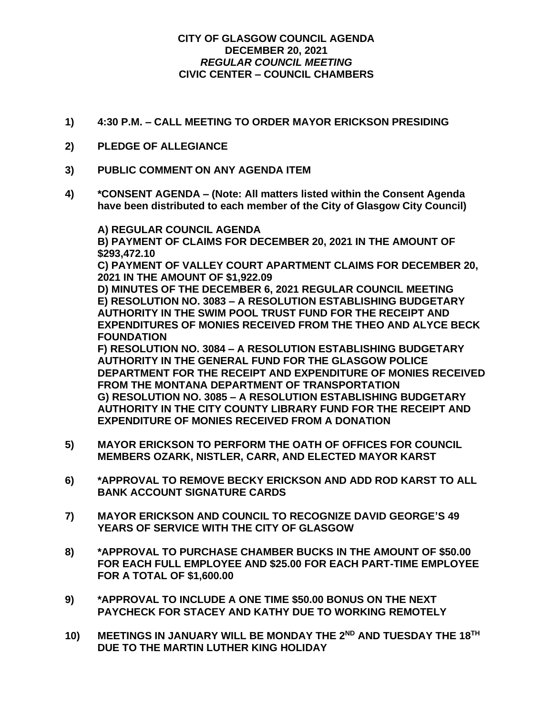## **CITY OF GLASGOW COUNCIL AGENDA DECEMBER 20, 2021** *REGULAR COUNCIL MEETING* **CIVIC CENTER – COUNCIL CHAMBERS**

- **1) 4:30 P.M. – CALL MEETING TO ORDER MAYOR ERICKSON PRESIDING**
- **2) PLEDGE OF ALLEGIANCE**
- **3) PUBLIC COMMENT ON ANY AGENDA ITEM**
- **4) \*CONSENT AGENDA – (Note: All matters listed within the Consent Agenda have been distributed to each member of the City of Glasgow City Council)**

**A) REGULAR COUNCIL AGENDA B) PAYMENT OF CLAIMS FOR DECEMBER 20, 2021 IN THE AMOUNT OF \$293,472.10**

**C) PAYMENT OF VALLEY COURT APARTMENT CLAIMS FOR DECEMBER 20, 2021 IN THE AMOUNT OF \$1,922.09**

**D) MINUTES OF THE DECEMBER 6, 2021 REGULAR COUNCIL MEETING E) RESOLUTION NO. 3083 – A RESOLUTION ESTABLISHING BUDGETARY AUTHORITY IN THE SWIM POOL TRUST FUND FOR THE RECEIPT AND EXPENDITURES OF MONIES RECEIVED FROM THE THEO AND ALYCE BECK FOUNDATION**

**F) RESOLUTION NO. 3084 – A RESOLUTION ESTABLISHING BUDGETARY AUTHORITY IN THE GENERAL FUND FOR THE GLASGOW POLICE DEPARTMENT FOR THE RECEIPT AND EXPENDITURE OF MONIES RECEIVED FROM THE MONTANA DEPARTMENT OF TRANSPORTATION G) RESOLUTION NO. 3085 – A RESOLUTION ESTABLISHING BUDGETARY AUTHORITY IN THE CITY COUNTY LIBRARY FUND FOR THE RECEIPT AND EXPENDITURE OF MONIES RECEIVED FROM A DONATION**

- **5) MAYOR ERICKSON TO PERFORM THE OATH OF OFFICES FOR COUNCIL MEMBERS OZARK, NISTLER, CARR, AND ELECTED MAYOR KARST**
- **6) \*APPROVAL TO REMOVE BECKY ERICKSON AND ADD ROD KARST TO ALL BANK ACCOUNT SIGNATURE CARDS**
- **7) MAYOR ERICKSON AND COUNCIL TO RECOGNIZE DAVID GEORGE'S 49 YEARS OF SERVICE WITH THE CITY OF GLASGOW**
- **8) \*APPROVAL TO PURCHASE CHAMBER BUCKS IN THE AMOUNT OF \$50.00 FOR EACH FULL EMPLOYEE AND \$25.00 FOR EACH PART-TIME EMPLOYEE FOR A TOTAL OF \$1,600.00**
- **9) \*APPROVAL TO INCLUDE A ONE TIME \$50.00 BONUS ON THE NEXT PAYCHECK FOR STACEY AND KATHY DUE TO WORKING REMOTELY**
- **10) MEETINGS IN JANUARY WILL BE MONDAY THE 2ND AND TUESDAY THE 18TH DUE TO THE MARTIN LUTHER KING HOLIDAY**